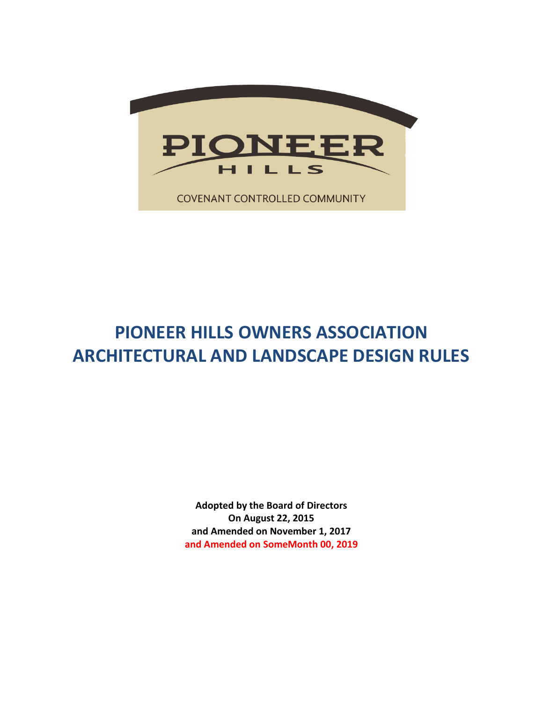

# **PIONEER HILLS OWNERS ASSOCIATION ARCHITECTURAL AND LANDSCAPE DESIGN RULES**

**Adopted by the Board of Directors On August 22, 2015 and Amended on November 1, 2017 and Amended on SomeMonth 00, 2019**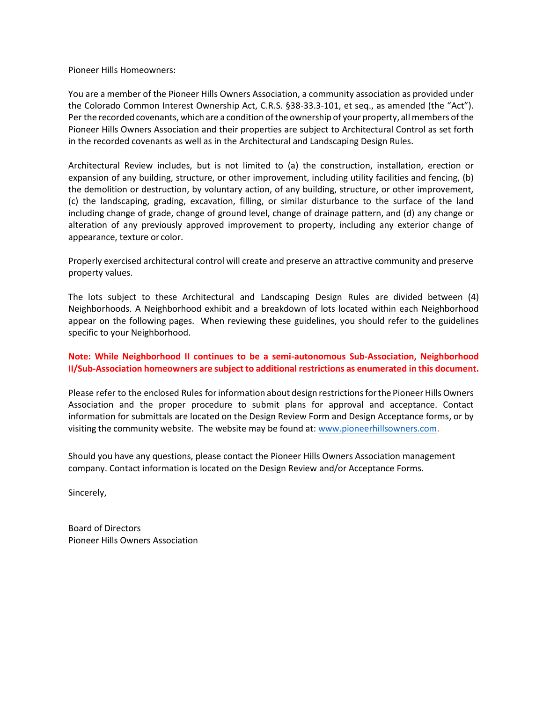Pioneer Hills Homeowners:

You are a member of the Pioneer Hills Owners Association, a community association as provided under the Colorado Common Interest Ownership Act, C.R.S. §38-33.3-101, et seq., as amended (the "Act"). Per the recorded covenants, which are a condition of the ownership of your property, all members of the Pioneer Hills Owners Association and their properties are subject to Architectural Control as set forth in the recorded covenants as well as in the Architectural and Landscaping Design Rules.

Architectural Review includes, but is not limited to (a) the construction, installation, erection or expansion of any building, structure, or other improvement, including utility facilities and fencing, (b) the demolition or destruction, by voluntary action, of any building, structure, or other improvement, (c) the landscaping, grading, excavation, filling, or similar disturbance to the surface of the land including change of grade, change of ground level, change of drainage pattern, and (d) any change or alteration of any previously approved improvement to property, including any exterior change of appearance, texture or color.

Properly exercised architectural control will create and preserve an attractive community and preserve property values.

The lots subject to these Architectural and Landscaping Design Rules are divided between (4) Neighborhoods. A Neighborhood exhibit and a breakdown of lots located within each Neighborhood appear on the following pages. When reviewing these guidelines, you should refer to the guidelines specific to your Neighborhood.

## **Note: While Neighborhood II continues to be a semi-autonomous Sub-Association, Neighborhood II/Sub-Association homeowners are subject to additional restrictions as enumerated in this document.**

Please refer to the enclosed Rules for information about design restrictions for the Pioneer Hills Owners Association and the proper procedure to submit plans for approval and acceptance. Contact information for submittals are located on the Design Review Form and Design Acceptance forms, or by visiting the community website. The website may be found at: [www.pioneerhillsowners.com.](http://www.pioneerhillsowners.com/)

Should you have any questions, please contact the Pioneer Hills Owners Association management company. Contact information is located on the Design Review and/or Acceptance Forms.

Sincerely,

Board of Directors Pioneer Hills Owners Association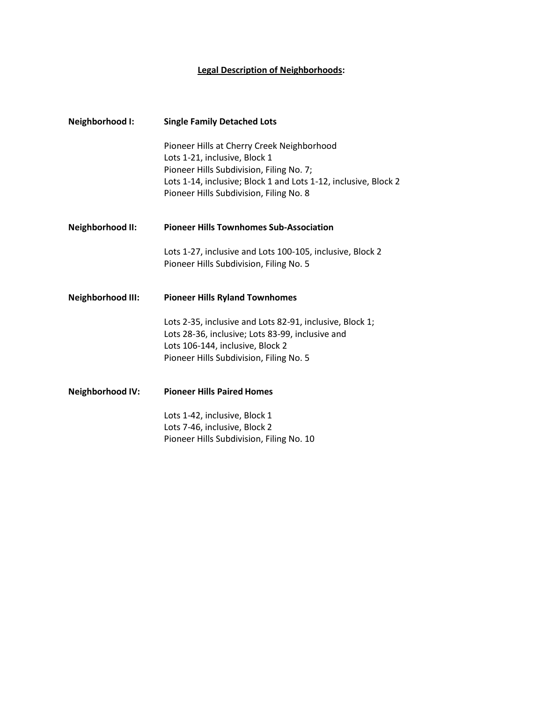# **Legal Description of Neighborhoods:**

| Neighborhood I:         | <b>Single Family Detached Lots</b>                                                                                                                                                                                                    |
|-------------------------|---------------------------------------------------------------------------------------------------------------------------------------------------------------------------------------------------------------------------------------|
|                         | Pioneer Hills at Cherry Creek Neighborhood<br>Lots 1-21, inclusive, Block 1<br>Pioneer Hills Subdivision, Filing No. 7;<br>Lots 1-14, inclusive; Block 1 and Lots 1-12, inclusive, Block 2<br>Pioneer Hills Subdivision, Filing No. 8 |
| Neighborhood II:        | <b>Pioneer Hills Townhomes Sub-Association</b>                                                                                                                                                                                        |
|                         | Lots 1-27, inclusive and Lots 100-105, inclusive, Block 2<br>Pioneer Hills Subdivision, Filing No. 5                                                                                                                                  |
| Neighborhood III:       | <b>Pioneer Hills Ryland Townhomes</b>                                                                                                                                                                                                 |
|                         | Lots 2-35, inclusive and Lots 82-91, inclusive, Block 1;<br>Lots 28-36, inclusive; Lots 83-99, inclusive and<br>Lots 106-144, inclusive, Block 2<br>Pioneer Hills Subdivision, Filing No. 5                                           |
| <b>Neighborhood IV:</b> | <b>Pioneer Hills Paired Homes</b>                                                                                                                                                                                                     |
|                         | Lots 1-42, inclusive, Block 1<br>Lots 7-46, inclusive, Block 2<br>Pioneer Hills Subdivision, Filing No. 10                                                                                                                            |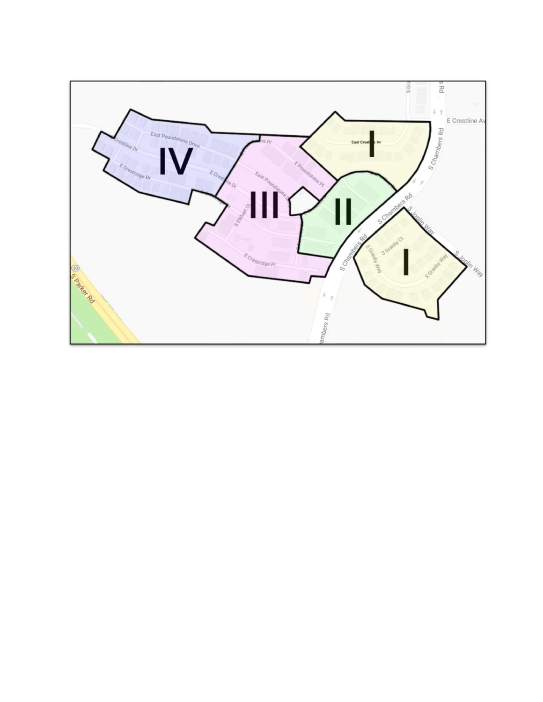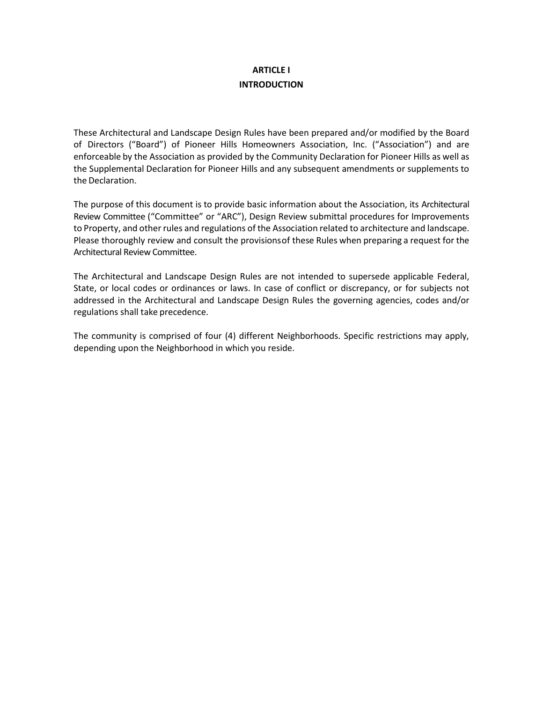# **ARTICLE I INTRODUCTION**

These Architectural and Landscape Design Rules have been prepared and/or modified by the Board of Directors ("Board") of Pioneer Hills Homeowners Association, Inc. ("Association") and are enforceable by the Association as provided by the Community Declaration for Pioneer Hills as well as the Supplemental Declaration for Pioneer Hills and any subsequent amendments or supplements to the Declaration.

The purpose of this document is to provide basic information about the Association, its Architectural Review Committee ("Committee" or "ARC"), Design Review submittal procedures for Improvements to Property, and other rules and regulations of the Association related to architecture and landscape. Please thoroughly review and consult the provisionsof these Rules when preparing a request for the Architectural Review Committee.

The Architectural and Landscape Design Rules are not intended to supersede applicable Federal, State, or local codes or ordinances or laws. In case of conflict or discrepancy, or for subjects not addressed in the Architectural and Landscape Design Rules the governing agencies, codes and/or regulations shall take precedence.

The community is comprised of four (4) different Neighborhoods. Specific restrictions may apply, depending upon the Neighborhood in which you reside.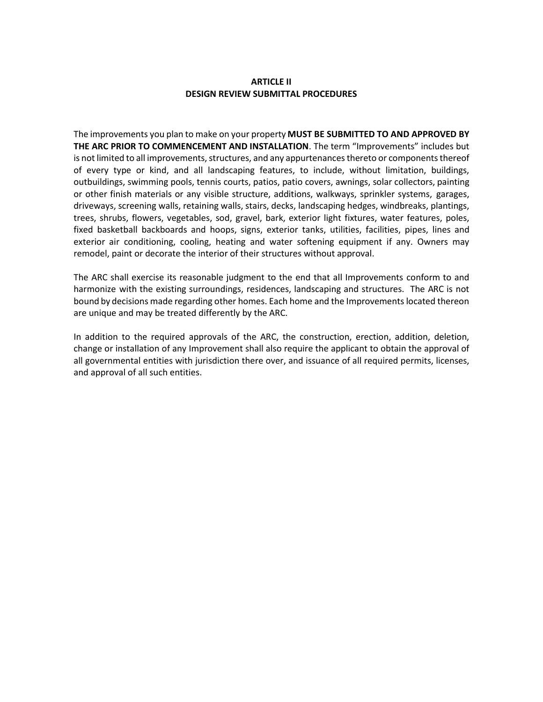#### **ARTICLE II DESIGN REVIEW SUBMITTAL PROCEDURES**

The improvements you plan to make on your property **MUST BE SUBMITTED TO AND APPROVED BY THE ARC PRIOR TO COMMENCEMENT AND INSTALLATION**. The term "Improvements" includes but is not limited to all improvements, structures, and any appurtenances thereto or components thereof of every type or kind, and all landscaping features, to include, without limitation, buildings, outbuildings, swimming pools, tennis courts, patios, patio covers, awnings, solar collectors, painting or other finish materials or any visible structure, additions, walkways, sprinkler systems, garages, driveways, screening walls, retaining walls, stairs, decks, landscaping hedges, windbreaks, plantings, trees, shrubs, flowers, vegetables, sod, gravel, bark, exterior light fixtures, water features, poles, fixed basketball backboards and hoops, signs, exterior tanks, utilities, facilities, pipes, lines and exterior air conditioning, cooling, heating and water softening equipment if any. Owners may remodel, paint or decorate the interior of their structures without approval.

The ARC shall exercise its reasonable judgment to the end that all Improvements conform to and harmonize with the existing surroundings, residences, landscaping and structures. The ARC is not bound by decisions made regarding other homes. Each home and the Improvements located thereon are unique and may be treated differently by the ARC.

In addition to the required approvals of the ARC, the construction, erection, addition, deletion, change or installation of any Improvement shall also require the applicant to obtain the approval of all governmental entities with jurisdiction there over, and issuance of all required permits, licenses, and approval of all such entities.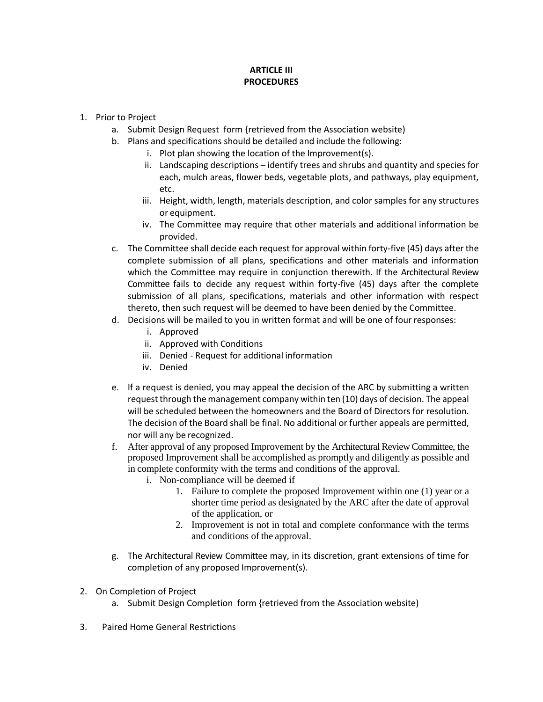## **ARTICLE III PROCEDURES**

- 1. Prior to Project
	- a. Submit Design Request form {retrieved from the Association website)
	- b. Plans and specifications should be detailed and include the following:
		- i. Plot plan showing the location of the Improvement(s).
		- ii. Landscaping descriptions identify trees and shrubs and quantity and species for each, mulch areas, flower beds, vegetable plots, and pathways, play equipment, etc.
		- iii. Height, width, length, materials description, and color samples for any structures or equipment.
		- iv. The Committee may require that other materials and additional information be provided.
	- c. The Committee shall decide each request for approval within forty-five (45) days after the complete submission of all plans, specifications and other materials and information which the Committee may require in conjunction therewith. If the Architectural Review Committee fails to decide any request within forty-five (45) days after the complete submission of all plans, specifications, materials and other information with respect thereto, then such request will be deemed to have been denied by the Committee.
	- d. Decisions will be mailed to you in written format and will be one of four responses:
		- i. Approved
		- ii. Approved with Conditions
		- iii. Denied Request for additional information
		- iv. Denied
	- e. If a request is denied, you may appeal the decision of the ARC by submitting a written request through the management company within ten (10) days of decision. The appeal will be scheduled between the homeowners and the Board of Directors for resolution. The decision of the Board shall be final. No additional or further appeals are permitted, nor will any be recognized.
	- f. After approval of any proposed Improvement by the Architectural Review Committee, the proposed Improvement shall be accomplished as promptly and diligently as possible and in complete conformity with the terms and conditions of the approval.
		- i. Non-compliance will be deemed if
			- 1. Failure to complete the proposed Improvement within one (1) year or a shorter time period as designated by the ARC after the date of approval of the application, or
			- 2. Improvement is not in total and complete conformance with the terms and conditions of the approval.
	- g. The Architectural Review Committee may, in its discretion, grant extensions of time for completion of any proposed Improvement(s).
- 2. On Completion of Project
	- a. Submit Design Completion form {retrieved from the Association website)
- 3. Paired Home General Restrictions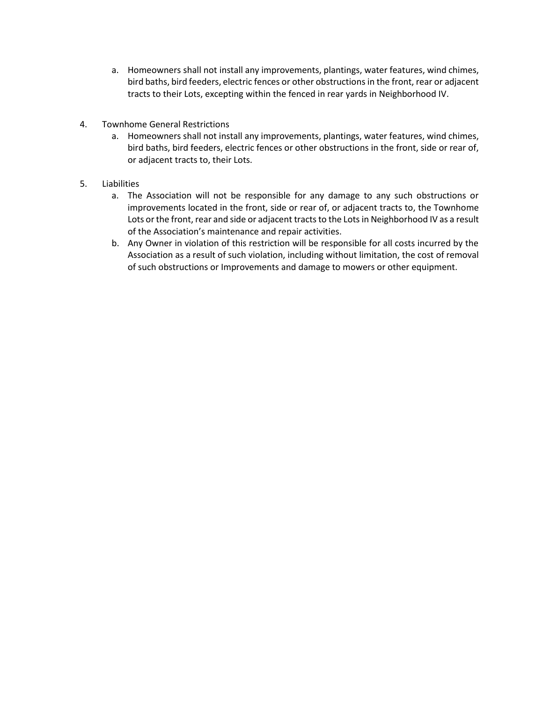- a. Homeowners shall not install any improvements, plantings, water features, wind chimes, bird baths, bird feeders, electric fences or other obstructions in the front, rear or adjacent tracts to their Lots, excepting within the fenced in rear yards in Neighborhood IV.
- 4. Townhome General Restrictions
	- a. Homeowners shall not install any improvements, plantings, water features, wind chimes, bird baths, bird feeders, electric fences or other obstructions in the front, side or rear of, or adjacent tracts to, their Lots.
- 5. Liabilities
	- a. The Association will not be responsible for any damage to any such obstructions or improvements located in the front, side or rear of, or adjacent tracts to, the Townhome Lots or the front, rear and side or adjacent tracts to the Lots in Neighborhood IV as a result of the Association's maintenance and repair activities.
	- b. Any Owner in violation of this restriction will be responsible for all costs incurred by the Association as a result of such violation, including without limitation, the cost of removal of such obstructions or Improvements and damage to mowers or other equipment.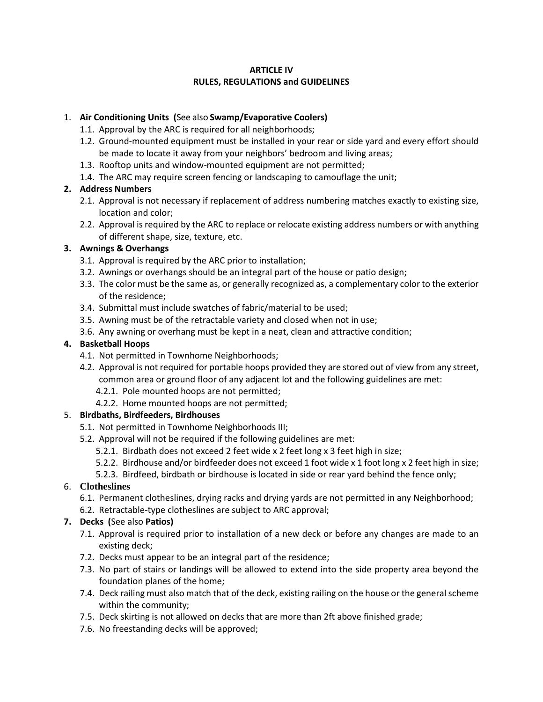## **ARTICLE IV RULES, REGULATIONS and GUIDELINES**

#### 1. **Air Conditioning Units (**See also **Swamp/Evaporative Coolers)**

- 1.1. Approval by the ARC is required for all neighborhoods;
- 1.2. Ground-mounted equipment must be installed in your rear or side yard and every effort should be made to locate it away from your neighbors' bedroom and living areas;
- 1.3. Rooftop units and window-mounted equipment are not permitted;
- 1.4. The ARC may require screen fencing or landscaping to camouflage the unit;

## **2. Address Numbers**

- 2.1. Approval is not necessary if replacement of address numbering matches exactly to existing size, location and color;
- 2.2. Approval is required by the ARC to replace or relocate existing address numbers or with anything of different shape, size, texture, etc.

## **3. Awnings & Overhangs**

- 3.1. Approval is required by the ARC prior to installation;
- 3.2. Awnings or overhangs should be an integral part of the house or patio design;
- 3.3. The color must be the same as, or generally recognized as, a complementary color to the exterior of the residence;
- 3.4. Submittal must include swatches of fabric/material to be used;
- 3.5. Awning must be of the retractable variety and closed when not in use;
- 3.6. Any awning or overhang must be kept in a neat, clean and attractive condition;

## **4. Basketball Hoops**

- 4.1. Not permitted in Townhome Neighborhoods;
- 4.2. Approval is not required for portable hoops provided they are stored out of view from any street, common area or ground floor of any adjacent lot and the following guidelines are met:
	- 4.2.1. Pole mounted hoops are not permitted;
	- 4.2.2. Home mounted hoops are not permitted;

## 5. **Birdbaths, Birdfeeders, Birdhouses**

- 5.1. Not permitted in Townhome Neighborhoods III;
- 5.2. Approval will not be required if the following guidelines are met:
	- 5.2.1. Birdbath does not exceed 2 feet wide x 2 feet long x 3 feet high in size;
	- 5.2.2. Birdhouse and/or birdfeeder does not exceed 1 foot wide x 1 foot long x 2 feet high in size;
	- 5.2.3. Birdfeed, birdbath or birdhouse is located in side or rear yard behind the fence only;

## 6. **Clotheslines**

- 6.1. Permanent clotheslines, drying racks and drying yards are not permitted in any Neighborhood;
- 6.2. Retractable-type clotheslines are subject to ARC approval;

## **7. Decks (**See also **Patios)**

- 7.1. Approval is required prior to installation of a new deck or before any changes are made to an existing deck;
- 7.2. Decks must appear to be an integral part of the residence;
- 7.3. No part of stairs or landings will be allowed to extend into the side property area beyond the foundation planes of the home;
- 7.4. Deck railing must also match that of the deck, existing railing on the house or the general scheme within the community;
- 7.5. Deck skirting is not allowed on decks that are more than 2ft above finished grade;
- 7.6. No freestanding decks will be approved;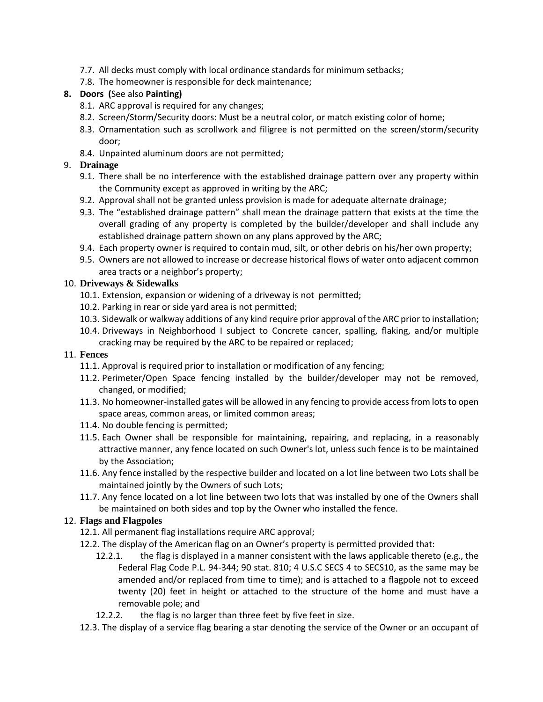- 7.7. All decks must comply with local ordinance standards for minimum setbacks;
- 7.8. The homeowner is responsible for deck maintenance;

# **8. Doors (**See also **Painting)**

- 8.1. ARC approval is required for any changes;
- 8.2. Screen/Storm/Security doors: Must be a neutral color, or match existing color of home;
- 8.3. Ornamentation such as scrollwork and filigree is not permitted on the screen/storm/security door;
- 8.4. Unpainted aluminum doors are not permitted;

# 9. **Drainage**

- 9.1. There shall be no interference with the established drainage pattern over any property within the Community except as approved in writing by the ARC;
- 9.2. Approval shall not be granted unless provision is made for adequate alternate drainage;
- 9.3. The "established drainage pattern" shall mean the drainage pattern that exists at the time the overall grading of any property is completed by the builder/developer and shall include any established drainage pattern shown on any plans approved by the ARC;
- 9.4. Each property owner is required to contain mud, silt, or other debris on his/her own property;
- 9.5. Owners are not allowed to increase or decrease historical flows of water onto adjacent common area tracts or a neighbor's property;

# 10. **Driveways & Sidewalks**

- 10.1. Extension, expansion or widening of a driveway is not permitted;
- 10.2. Parking in rear or side yard area is not permitted;
- 10.3. Sidewalk or walkway additions of any kind require prior approval of the ARC prior to installation;
- 10.4. Driveways in Neighborhood I subject to Concrete cancer, spalling, flaking, and/or multiple cracking may be required by the ARC to be repaired or replaced;

# 11. **Fences**

- 11.1. Approval is required prior to installation or modification of any fencing;
- 11.2. Perimeter/Open Space fencing installed by the builder/developer may not be removed, changed, or modified;
- 11.3. No homeowner-installed gates will be allowed in any fencing to provide access from lots to open space areas, common areas, or limited common areas;
- 11.4. No double fencing is permitted;
- 11.5. Each Owner shall be responsible for maintaining, repairing, and replacing, in a reasonably attractive manner, any fence located on such Owner's lot, unless such fence is to be maintained by the Association;
- 11.6. Any fence installed by the respective builder and located on a lot line between two Lots shall be maintained jointly by the Owners of such Lots;
- 11.7. Any fence located on a lot line between two lots that was installed by one of the Owners shall be maintained on both sides and top by the Owner who installed the fence.

# 12. **Flags and Flagpoles**

- 12.1. All permanent flag installations require ARC approval;
- 12.2. The display of the American flag on an Owner's property is permitted provided that:
	- 12.2.1. the flag is displayed in a manner consistent with the laws applicable thereto (e.g., the Federal Flag Code P.L. 94-344; 90 stat. 810; 4 U.S.C SECS 4 to SECS10, as the same may be amended and/or replaced from time to time); and is attached to a flagpole not to exceed twenty (20) feet in height or attached to the structure of the home and must have a removable pole; and
	- 12.2.2. the flag is no larger than three feet by five feet in size.
- 12.3. The display of a service flag bearing a star denoting the service of the Owner or an occupant of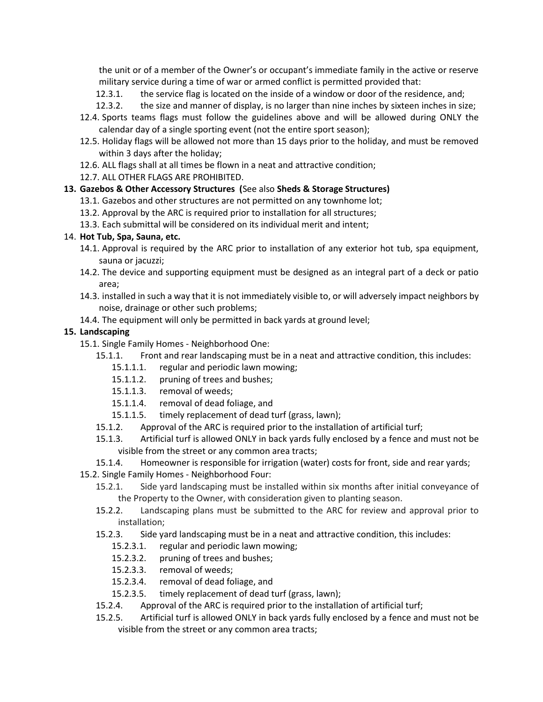the unit or of a member of the Owner's or occupant's immediate family in the active or reserve military service during a time of war or armed conflict is permitted provided that:

- 12.3.1. the service flag is located on the inside of a window or door of the residence, and;
- 12.3.2. the size and manner of display, is no larger than nine inches by sixteen inches in size;
- 12.4. Sports teams flags must follow the guidelines above and will be allowed during ONLY the calendar day of a single sporting event (not the entire sport season);
- 12.5. Holiday flags will be allowed not more than 15 days prior to the holiday, and must be removed within 3 days after the holiday;
- 12.6. ALL flags shall at all times be flown in a neat and attractive condition;
- 12.7. ALL OTHER FLAGS ARE PROHIBITED.

# **13. Gazebos & Other Accessory Structures (**See also **Sheds & Storage Structures)**

- 13.1. Gazebos and other structures are not permitted on any townhome lot;
- 13.2. Approval by the ARC is required prior to installation for all structures;
- 13.3. Each submittal will be considered on its individual merit and intent;

## 14. **Hot Tub, Spa, Sauna, etc.**

- 14.1. Approval is required by the ARC prior to installation of any exterior hot tub, spa equipment, sauna or jacuzzi;
- 14.2. The device and supporting equipment must be designed as an integral part of a deck or patio area;
- 14.3. installed in such a way that it is not immediately visible to, or will adversely impact neighbors by noise, drainage or other such problems;
- 14.4. The equipment will only be permitted in back yards at ground level;

# **15. Landscaping**

- 15.1. Single Family Homes Neighborhood One:
	- 15.1.1. Front and rear landscaping must be in a neat and attractive condition, this includes:
		- 15.1.1.1. regular and periodic lawn mowing;
		- 15.1.1.2. pruning of trees and bushes;
		- 15.1.1.3. removal of weeds;
		- 15.1.1.4. removal of dead foliage, and
		- 15.1.1.5. timely replacement of dead turf (grass, lawn);
	- 15.1.2. Approval of the ARC is required prior to the installation of artificial turf;
	- 15.1.3. Artificial turf is allowed ONLY in back yards fully enclosed by a fence and must not be visible from the street or any common area tracts;
	- 15.1.4. Homeowner is responsible for irrigation (water) costs for front, side and rear yards;
- 15.2. Single Family Homes Neighborhood Four:
	- 15.2.1. Side yard landscaping must be installed within six months after initial conveyance of the Property to the Owner, with consideration given to planting season.
	- 15.2.2. Landscaping plans must be submitted to the ARC for review and approval prior to installation;
	- 15.2.3. Side yard landscaping must be in a neat and attractive condition, this includes:
		- 15.2.3.1. regular and periodic lawn mowing;
		- 15.2.3.2. pruning of trees and bushes;
		- 15.2.3.3. removal of weeds;
		- 15.2.3.4. removal of dead foliage, and
		- 15.2.3.5. timely replacement of dead turf (grass, lawn);
	- 15.2.4. Approval of the ARC is required prior to the installation of artificial turf;
	- 15.2.5. Artificial turf is allowed ONLY in back yards fully enclosed by a fence and must not be visible from the street or any common area tracts;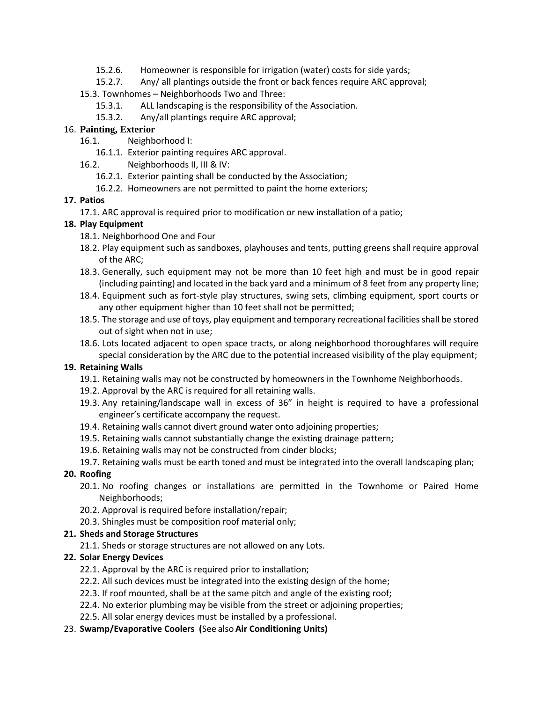- 15.2.6. Homeowner is responsible for irrigation (water) costs for side yards;
- 15.2.7. Any/ all plantings outside the front or back fences require ARC approval;

## 15.3. Townhomes – Neighborhoods Two and Three:

- 15.3.1. ALL landscaping is the responsibility of the Association.
- 15.3.2. Any/all plantings require ARC approval;

# 16. **Painting, Exterior**

- 16.1. Neighborhood I:
	- 16.1.1. Exterior painting requires ARC approval.
- 16.2. Neighborhoods II, III & IV:
	- 16.2.1. Exterior painting shall be conducted by the Association;
	- 16.2.2. Homeowners are not permitted to paint the home exteriors;

## **17. Patios**

17.1. ARC approval is required prior to modification or new installation of a patio;

# **18. Play Equipment**

- 18.1. Neighborhood One and Four
- 18.2. Play equipment such as sandboxes, playhouses and tents, putting greens shall require approval of the ARC;
- 18.3. Generally, such equipment may not be more than 10 feet high and must be in good repair (including painting) and located in the back yard and a minimum of 8 feet from any property line;
- 18.4. Equipment such as fort-style play structures, swing sets, climbing equipment, sport courts or any other equipment higher than 10 feet shall not be permitted;
- 18.5. The storage and use of toys, play equipment and temporary recreational facilities shall be stored out of sight when not in use;
- 18.6. Lots located adjacent to open space tracts, or along neighborhood thoroughfares will require special consideration by the ARC due to the potential increased visibility of the play equipment;

# **19. Retaining Walls**

- 19.1. Retaining walls may not be constructed by homeowners in the Townhome Neighborhoods.
- 19.2. Approval by the ARC is required for all retaining walls.
- 19.3. Any retaining/landscape wall in excess of 36" in height is required to have a professional engineer's certificate accompany the request.
- 19.4. Retaining walls cannot divert ground water onto adjoining properties;
- 19.5. Retaining walls cannot substantially change the existing drainage pattern;
- 19.6. Retaining walls may not be constructed from cinder blocks;
- 19.7. Retaining walls must be earth toned and must be integrated into the overall landscaping plan;

# **20. Roofing**

- 20.1. No roofing changes or installations are permitted in the Townhome or Paired Home Neighborhoods;
- 20.2. Approval is required before installation/repair;
- 20.3. Shingles must be composition roof material only;

# **21. Sheds and Storage Structures**

21.1. Sheds or storage structures are not allowed on any Lots.

# **22. Solar Energy Devices**

- 22.1. Approval by the ARC is required prior to installation;
- 22.2. All such devices must be integrated into the existing design of the home;
- 22.3. If roof mounted, shall be at the same pitch and angle of the existing roof;
- 22.4. No exterior plumbing may be visible from the street or adjoining properties;
- 22.5. All solar energy devices must be installed by a professional.

# 23. **Swamp/Evaporative Coolers (**See also **Air Conditioning Units)**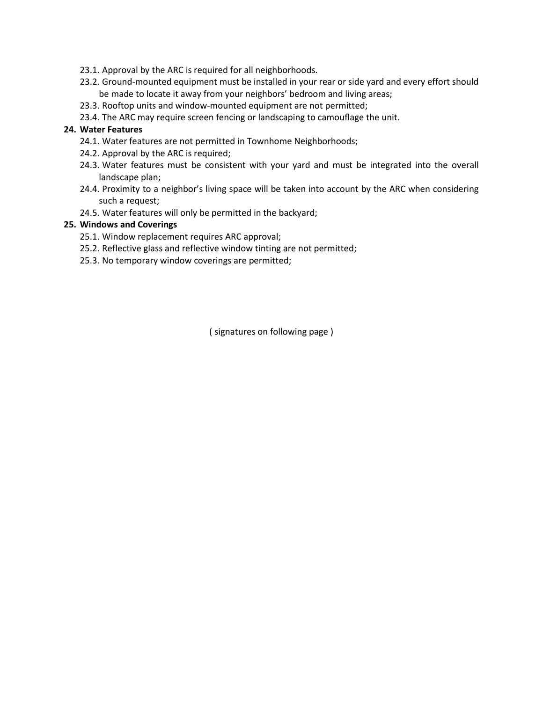- 23.1. Approval by the ARC is required for all neighborhoods.
- 23.2. Ground-mounted equipment must be installed in your rear or side yard and every effort should be made to locate it away from your neighbors' bedroom and living areas;
- 23.3. Rooftop units and window-mounted equipment are not permitted;
- 23.4. The ARC may require screen fencing or landscaping to camouflage the unit.

## **24. Water Features**

- 24.1. Water features are not permitted in Townhome Neighborhoods;
- 24.2. Approval by the ARC is required;
- 24.3. Water features must be consistent with your yard and must be integrated into the overall landscape plan;
- 24.4. Proximity to a neighbor's living space will be taken into account by the ARC when considering such a request;
- 24.5. Water features will only be permitted in the backyard;

#### **25. Windows and Coverings**

- 25.1. Window replacement requires ARC approval;
- 25.2. Reflective glass and reflective window tinting are not permitted;
- 25.3. No temporary window coverings are permitted;

( signatures on following page )